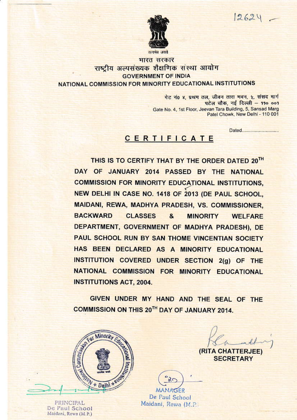$12624 -$ 



भारत सरकार राष्ट्रीय अल्पसंख्यक शैक्षणिक संस्था आयोग **GOVERNMENT OF INDIA** NATIONAL COMMISSION FOR MINORITY EDUCATIONAL INSTITUTIONS

> गेट नं0 ४, प्रथम तल, जीवन तारा मवन, ५, संसद मार्ग पटेल चौक, नई दिल्ली - ११० ००१ Gate No. 4, 1st Floor, Jeevan Tara Building, 5, Sansad Marg Patel Chowk, New Delhi - 110 001

# CERTIFICATE

THIS IS TO CERTIFY THAT BY THE ORDER DATED 20TH DAY OF JANUARY 2014 PASSED BY THE NATIONAL **COMMISSION FOR MINORITY EDUCATIONAL INSTITUTIONS.** NEW DELHI IN CASE NO. 1418 OF 2013 (DE PAUL SCHOOL. MAIDANI, REWA, MADHYA PRADESH, VS. COMMISSIONER, **BACKWARD CLASSES** & **MINORITY WELFARE** DEPARTMENT, GOVERNMENT OF MADHYA PRADESH), DE PAUL SCHOOL RUN BY SAN THOME VINCENTIAN SOCIETY HAS BEEN DECLARED AS A MINORITY EDUCATIONAL INSTITUTION COVERED UNDER SECTION 2(g) OF THE NATIONAL COMMISSION FOR MINORITY EDUCATIONAL **INSTITUTIONS ACT, 2004.** 

GIVEN UNDER MY HAND AND THE SEAL OF THE COMMISSION ON THIS 20TH DAY OF JANUARY 2014.



PRINCIPAL De Paul School Maidani, Rewa (M.P.)

(RITA CHATTERJEE)

**SECRETARY** 

**MANAGER** De Paul School Maidani, Rewa (M.P.)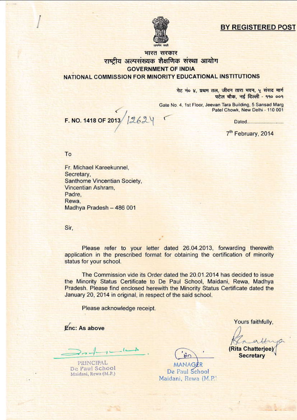## **BY REGISTERED POST**



## भारत सरकार राष्टीय अल्पसंख्यक शैक्षणिक संस्था आयोग **GOVERNMENT OF INDIA** NATIONAL COMMISSION FOR MINORITY EDUCATIONAL INSTITUTIONS

गेट नं० ४, प्रथम तल, जीवन तारा भवन, ५ संसद मार्ग पटेल चौक, नई दिल्ली - ११० ००१

Gate No. 4, 1st Floor, Jeevan Tara Building, 5 Sansad Marg Patel Chowk, New Delhi - 110 001

7<sup>th</sup> February, 2014

To

Fr. Michael Kareekunnel, Secretary, Santhome Vincentian Society, Vincentian Ashram. Padre. Rewa. Madhya Pradesh - 486 001

F. NO. 1418 OF 2013 12624

Sir,

Please refer to your letter dated 26.04.2013, forwarding therewith application in the prescribed format for obtaining the certification of minority status for your school.

The Commission vide its Order dated the 20.01.2014 has decided to issue the Minority Status Certificate to De Paul School, Maidani, Rewa, Madhya Pradesh. Please find enclosed herewith the Minority Status Certificate dated the January 20, 2014 in original, in respect of the said school.

Please acknowledge receipt.

Enc: As above

PRINCIPAL De Paul School Maidani, Rewa (M.P.)

MANAGER De Paul School Maidani, Rewa (M.P.) Yours faithfully,

(Rita Chatterjee **Secretary**